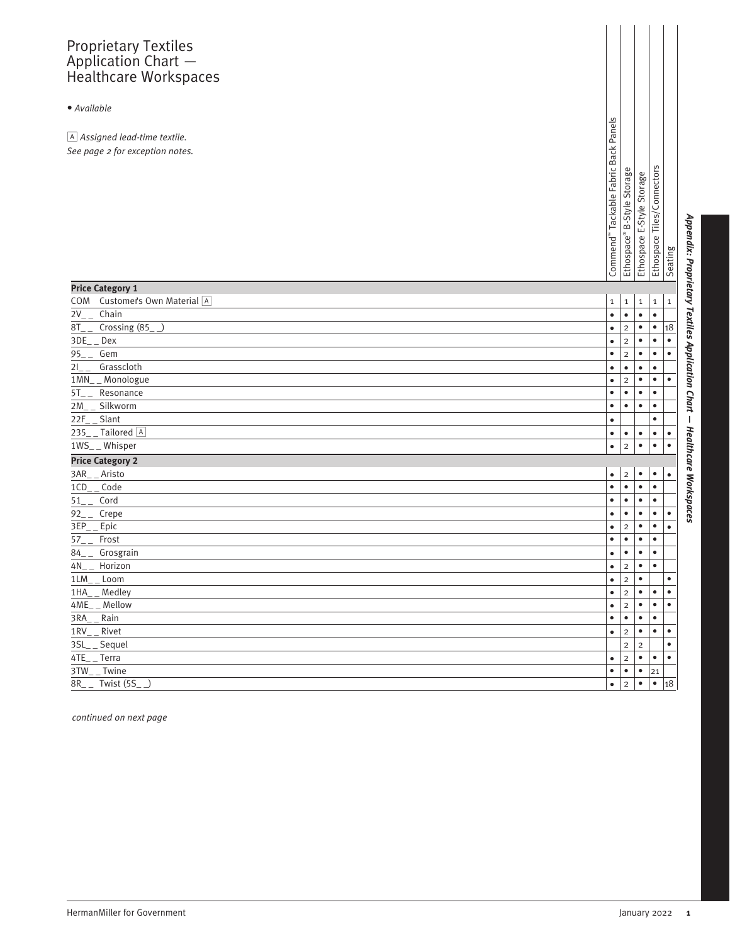## Proprietary Textiles Application Chart — Healthcare Workspaces

## *• Available*

| A Assigned lead-time textile.<br>See page 2 for exception notes. | Commend" Tackable Fabric Back Panels | <b>B-Style Storage</b><br>Ethospace® | E-Style Storage<br>Ethospace | Ethospace Tiles/Connectors | Seating     |
|------------------------------------------------------------------|--------------------------------------|--------------------------------------|------------------------------|----------------------------|-------------|
| <b>Price Category 1</b>                                          |                                      |                                      |                              |                            |             |
| Customer's Own Material A<br>COM                                 | $\mathbf 1$                          | $\mathbf 1$                          | $\mathbf 1$                  | $\mathbf 1$                | $\mathbf 1$ |
| $2V_{-}$<br>Chain                                                | $\bullet$                            | $\bullet$                            | $\bullet$                    | $\bullet$                  |             |
| Crossing $(85)$<br>$8T_{-}$                                      | $\bullet$                            | $\mathbf 2$                          | $\bullet$                    | $\bullet$                  | 18          |
| 3DE<br>Dex                                                       | $\bullet$                            | $\overline{2}$                       | $\bullet$                    | $\bullet$                  | $\bullet$   |
| Gem<br>95                                                        | $\bullet$                            | $\overline{2}$                       | $\bullet$                    | $\bullet$                  | $\bullet$   |
| Grasscloth<br>21                                                 | $\bullet$                            | $\bullet$                            | $\bullet$                    | $\bullet$                  |             |
| 1MN__ Monologue                                                  | $\bullet$                            | $\overline{2}$                       | $\bullet$                    | $\bullet$                  | $\bullet$   |
| Resonance<br>5T<br>2M<br>Silkworm                                | $\bullet$<br>$\bullet$               | $\bullet$<br>$\bullet$               | $\bullet$<br>$\bullet$       | $\bullet$<br>$\bullet$     |             |
| 22F Slant                                                        | $\bullet$                            |                                      |                              | $\bullet$                  |             |
| 235__Tailored A                                                  | $\bullet$                            | $\bullet$                            | $\bullet$                    |                            | $\bullet$   |
| $1WS_{-}$ Whisper                                                | $\bullet$                            | $\overline{c}$                       | $\bullet$                    | $\bullet$<br>$\bullet$     | $\bullet$   |
| <b>Price Category 2</b>                                          |                                      |                                      |                              |                            |             |
| 3AR_ _ Aristo                                                    | $\bullet$                            | $\overline{c}$                       | $\bullet$                    | $\bullet$                  | $\bullet$   |
| $1CD_{-}$ Code                                                   | $\bullet$                            | $\bullet$                            | $\bullet$                    | $\bullet$                  |             |
| Cord<br>51                                                       | $\bullet$                            | $\bullet$                            | $\bullet$                    | $\bullet$                  |             |
| Crepe<br>92                                                      | $\bullet$                            | $\bullet$                            | $\bullet$                    | $\bullet$                  | $\bullet$   |
| $3EP_{-}$ Epic                                                   | $\bullet$                            | $\overline{2}$                       | $\bullet$                    | $\bullet$                  | $\bullet$   |
| Frost<br>$57 -$                                                  | $\bullet$                            | $\bullet$                            | $\bullet$                    | $\bullet$                  |             |
| Grosgrain<br>$84_{-}$                                            | $\bullet$                            | $\bullet$                            | $\bullet$                    | $\bullet$                  |             |
| Horizon<br>4N -                                                  | $\bullet$                            | $\overline{2}$                       | $\bullet$                    | $\bullet$                  |             |
| $\_$ Loom<br>1LM                                                 | $\bullet$                            | $\overline{c}$                       | $\bullet$                    |                            | $\bullet$   |
| Medley<br>1HA                                                    | $\bullet$                            | $\mathbf 2$                          | $\bullet$                    | $\bullet$                  | $\bullet$   |
| 4ME<br>Mellow                                                    | $\bullet$                            | $\overline{c}$                       | $\bullet$                    | $\bullet$                  | $\bullet$   |
| Rain<br>3RA                                                      | $\bullet$                            | $\bullet$                            | $\bullet$                    | $\bullet$                  |             |
| 1RV__ Rivet                                                      | $\bullet$                            | $\overline{2}$                       | $\bullet$                    | $\bullet$                  | $\bullet$   |
| $3SL$ <sub>--</sub><br>Sequel                                    |                                      | $\overline{2}$                       | $\overline{2}$               |                            | $\bullet$   |
| 4TE<br>Terra                                                     | $\bullet$                            | $\overline{2}$                       | $\bullet$                    | $\bullet$                  | $\bullet$   |
| 3TW<br>Twine                                                     | $\bullet$                            | $\bullet$                            | $\bullet$                    | 21                         |             |
| 8R_<br>Twist (5S                                                 | $\bullet$                            | $\overline{c}$                       | $\bullet$                    | $\bullet$                  | 18          |

*continued on next page*

Appendix: Proprietary Textiles Application Chart — Healthcare Workspaces **1***Appendix: Proprietary Textiles Application Chart* **—** *Healthcare Workspaces*